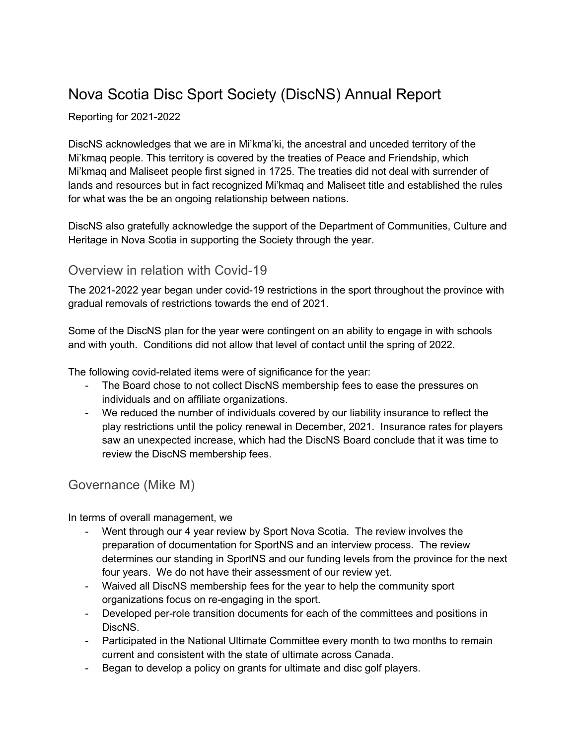# Nova Scotia Disc Sport Society (DiscNS) Annual Report

#### Reporting for 2021-2022

DiscNS acknowledges that we are in Mi'kma'ki, the ancestral and unceded territory of the Mi'kmaq people. This territory is covered by the treaties of Peace and Friendship, which Mi'kmaq and Maliseet people first signed in 1725. The treaties did not deal with surrender of lands and resources but in fact recognized Mi'kmaq and Maliseet title and established the rules for what was the be an ongoing relationship between nations.

DiscNS also gratefully acknowledge the support of the Department of Communities, Culture and Heritage in Nova Scotia in supporting the Society through the year.

### Overview in relation with Covid-19

The 2021-2022 year began under covid-19 restrictions in the sport throughout the province with gradual removals of restrictions towards the end of 2021.

Some of the DiscNS plan for the year were contingent on an ability to engage in with schools and with youth. Conditions did not allow that level of contact until the spring of 2022.

The following covid-related items were of significance for the year:

- The Board chose to not collect DiscNS membership fees to ease the pressures on individuals and on affiliate organizations.
- We reduced the number of individuals covered by our liability insurance to reflect the play restrictions until the policy renewal in December, 2021. Insurance rates for players saw an unexpected increase, which had the DiscNS Board conclude that it was time to review the DiscNS membership fees.

## Governance (Mike M)

In terms of overall management, we

- Went through our 4 year review by Sport Nova Scotia. The review involves the preparation of documentation for SportNS and an interview process. The review determines our standing in SportNS and our funding levels from the province for the next four years. We do not have their assessment of our review yet.
- Waived all DiscNS membership fees for the year to help the community sport organizations focus on re-engaging in the sport.
- Developed per-role transition documents for each of the committees and positions in DiscNS.
- Participated in the National Ultimate Committee every month to two months to remain current and consistent with the state of ultimate across Canada.
- Began to develop a policy on grants for ultimate and disc golf players.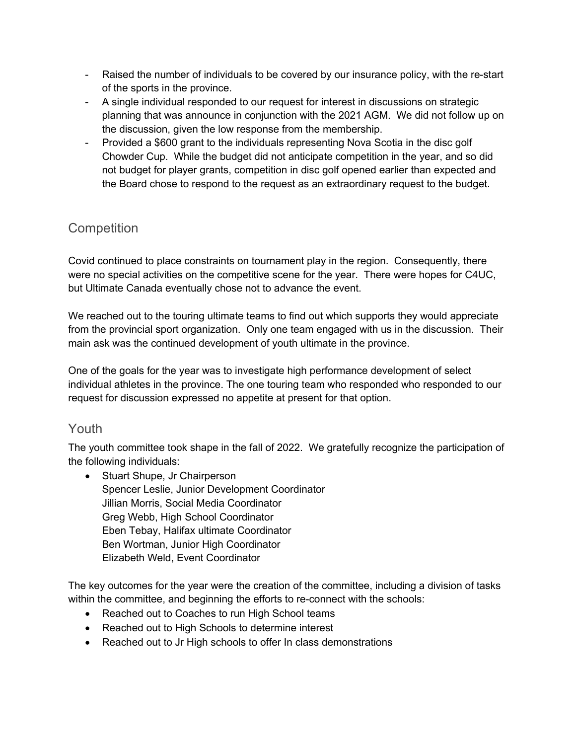- Raised the number of individuals to be covered by our insurance policy, with the re-start of the sports in the province.
- A single individual responded to our request for interest in discussions on strategic planning that was announce in conjunction with the 2021 AGM. We did not follow up on the discussion, given the low response from the membership.
- Provided a \$600 grant to the individuals representing Nova Scotia in the disc golf Chowder Cup. While the budget did not anticipate competition in the year, and so did not budget for player grants, competition in disc golf opened earlier than expected and the Board chose to respond to the request as an extraordinary request to the budget.

## **Competition**

Covid continued to place constraints on tournament play in the region. Consequently, there were no special activities on the competitive scene for the year. There were hopes for C4UC, but Ultimate Canada eventually chose not to advance the event.

We reached out to the touring ultimate teams to find out which supports they would appreciate from the provincial sport organization. Only one team engaged with us in the discussion. Their main ask was the continued development of youth ultimate in the province.

One of the goals for the year was to investigate high performance development of select individual athletes in the province. The one touring team who responded who responded to our request for discussion expressed no appetite at present for that option.

## Youth

The youth committee took shape in the fall of 2022. We gratefully recognize the participation of the following individuals:

• Stuart Shupe, Jr Chairperson Spencer Leslie, Junior Development Coordinator Jillian Morris, Social Media Coordinator Greg Webb, High School Coordinator Eben Tebay, Halifax ultimate Coordinator Ben Wortman, Junior High Coordinator Elizabeth Weld, Event Coordinator

The key outcomes for the year were the creation of the committee, including a division of tasks within the committee, and beginning the efforts to re-connect with the schools:

- Reached out to Coaches to run High School teams
- Reached out to High Schools to determine interest
- Reached out to Jr High schools to offer In class demonstrations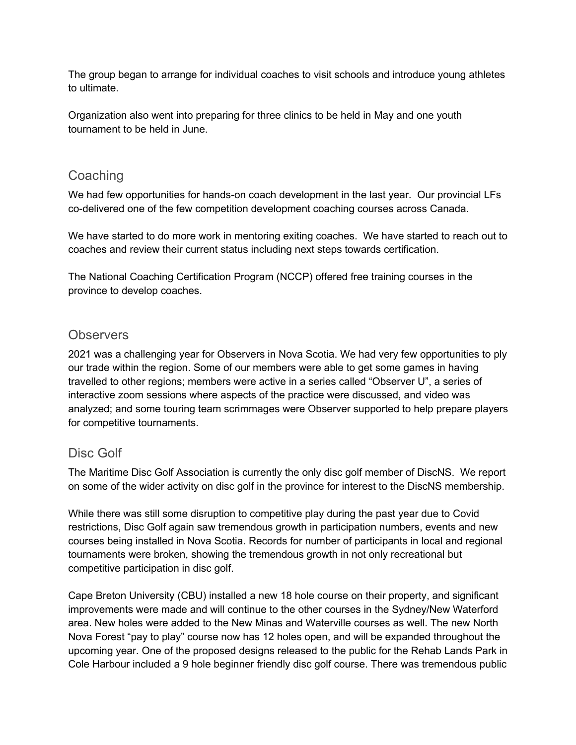The group began to arrange for individual coaches to visit schools and introduce young athletes to ultimate.

Organization also went into preparing for three clinics to be held in May and one youth tournament to be held in June.

## **Coaching**

We had few opportunities for hands-on coach development in the last year. Our provincial LFs co-delivered one of the few competition development coaching courses across Canada.

We have started to do more work in mentoring exiting coaches. We have started to reach out to coaches and review their current status including next steps towards certification.

The National Coaching Certification Program (NCCP) offered free training courses in the province to develop coaches.

## **Observers**

2021 was a challenging year for Observers in Nova Scotia. We had very few opportunities to ply our trade within the region. Some of our members were able to get some games in having travelled to other regions; members were active in a series called "Observer U", a series of interactive zoom sessions where aspects of the practice were discussed, and video was analyzed; and some touring team scrimmages were Observer supported to help prepare players for competitive tournaments.

## Disc Golf

The Maritime Disc Golf Association is currently the only disc golf member of DiscNS. We report on some of the wider activity on disc golf in the province for interest to the DiscNS membership.

While there was still some disruption to competitive play during the past year due to Covid restrictions, Disc Golf again saw tremendous growth in participation numbers, events and new courses being installed in Nova Scotia. Records for number of participants in local and regional tournaments were broken, showing the tremendous growth in not only recreational but competitive participation in disc golf.

Cape Breton University (CBU) installed a new 18 hole course on their property, and significant improvements were made and will continue to the other courses in the Sydney/New Waterford area. New holes were added to the New Minas and Waterville courses as well. The new North Nova Forest "pay to play" course now has 12 holes open, and will be expanded throughout the upcoming year. One of the proposed designs released to the public for the Rehab Lands Park in Cole Harbour included a 9 hole beginner friendly disc golf course. There was tremendous public